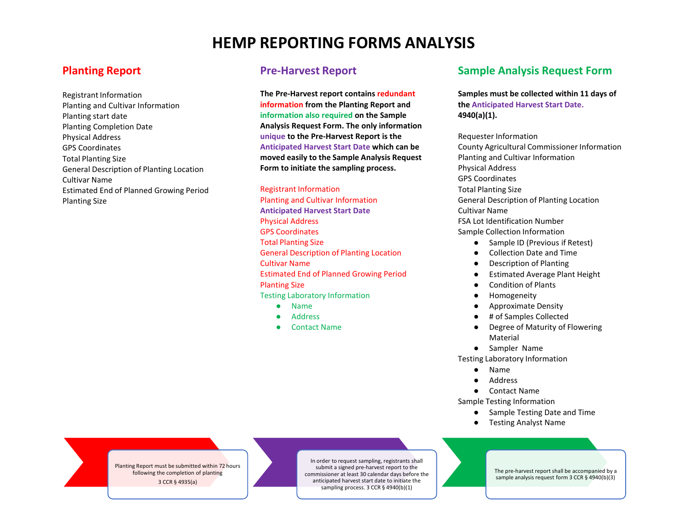# **HEMP REPORTING FORMS ANALYSIS**

# **Planting Report**

Registrant Information Planting and Cultivar Information Planting start date Planting Completion Date Physical Address GPS Coordinates Total Planting Size General Description of Planting Location Cultivar Name Estimated End of Planned Growing Period Planting Size

## **Pre-Harvest Report**

**The Pre-Harvest report contains redundant information from the Planting Report and information also required on the Sample Analysis Request Form. The only information unique to the Pre-Harvest Report is the Anticipated Harvest Start Date which can be moved easily to the Sample Analysis Request Form to initiate the sampling process.**

Registrant Information Planting and Cultivar Information **Anticipated Harvest Start Date** Physical Address GPS Coordinates Total Planting Size General Description of Planting Location Cultivar Name Estimated End of Planned Growing Period Planting Size Testing Laboratory Information

- Name
- Address
- **Contact Name**

# **Sample Analysis Request Form**

### **Samples must be collected within 11 days of the Anticipated Harvest Start Date. 4940(a)(1).**

Requester Information County Agricultural Commissioner Information Planting and Cultivar Information Physical Address GPS Coordinates Total Planting Size General Description of Planting Location Cultivar Name FSA Lot Identification Number Sample Collection Information Sample ID (Previous if Retest)

- Collection Date and Time
- Description of Planting
- Estimated Average Plant Height
- Condition of Plants
- Homogeneity
- Approximate Density
- # of Samples Collected
- Degree of Maturity of Flowering Material
- Sampler Name

Testing Laboratory Information

- Name
- Address
- Contact Name

Sample Testing Information

- Sample Testing Date and Time
- Testing Analyst Name

Planting Report must be submitted within 72 hours following the completion of planting 3 CCR § 4935(a)

In order to request sampling, registrants shall submit a signed pre-harvest report to the commissioner at least 30 calendar days before the anticipated harvest start date to initiate the sampling process. 3 CCR § 4940(b)(1)

The pre-harvest report shall be accompanied by a sample analysis request form 3 CCR § 4940(b)(3)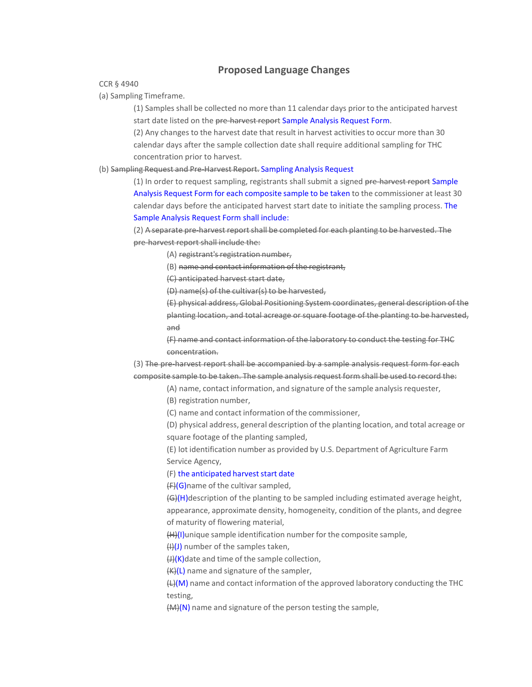## **Proposed Language Changes**

CCR § 4940

(a) Sampling Timeframe.

(1) Samples shall be collected no more than 11 calendar days prior to the anticipated harvest start date listed on the pre-harvest report Sample Analysis Request Form.

(2) Any changes to the harvest date that result in harvest activities to occur more than 30 calendar days after the sample collection date shall require additional sampling for THC concentration prior to harvest.

#### (b) Sampling Request and Pre-Harvest Report. Sampling Analysis Request

(1) In order to request sampling, registrants shall submit a signed pre-harvest report Sample Analysis Request Form for each composite sample to be taken to the commissioner at least 30 calendar days before the anticipated harvest start date to initiate the sampling process. The Sample Analysis Request Form shall include:

(2) A separate pre-harvest report shall be completed for each planting to be harvested. The pre-harvest report shall include the:

- (A) registrant's registration number,
- (B) name and contact information of the registrant,

(C) anticipated harvest start date,

(D) name(s) of the cultivar(s) to be harvested,

(E) physical address, Global Positioning System coordinates, general description of the planting location, and total acreage or square footage of the planting to be harvested, and

(F) name and contact information of the laboratory to conduct the testing for THC concentration.

(3) The pre-harvest report shall be accompanied by a sample analysis request form for each composite sample to be taken. The sample analysis request form shall be used to record the:

- (A) name, contact information, and signature of the sample analysisrequester,
- (B) registration number,

(C) name and contact information of the commissioner,

(D) physical address, general description of the planting location, and total acreage or square footage of the planting sampled,

(E) lot identification number as provided by U.S. Department of Agriculture Farm Service Agency,

#### (F) the anticipated harvest start date

 $(F)(G)$ name of the cultivar sampled,

(G)(H)description of the planting to be sampled including estimated average height, appearance, approximate density, homogeneity, condition of the plants, and degree of maturity of flowering material,

(H)(I)unique sample identification number for the composite sample,

 $(H)(J)$  number of the samples taken,

 $H(X)$ date and time of the sample collection,

 $(K)(L)$  name and signature of the sampler,

 $H(M)$  name and contact information of the approved laboratory conducting the THC testing,

 $(M)(N)$  name and signature of the person testing the sample,